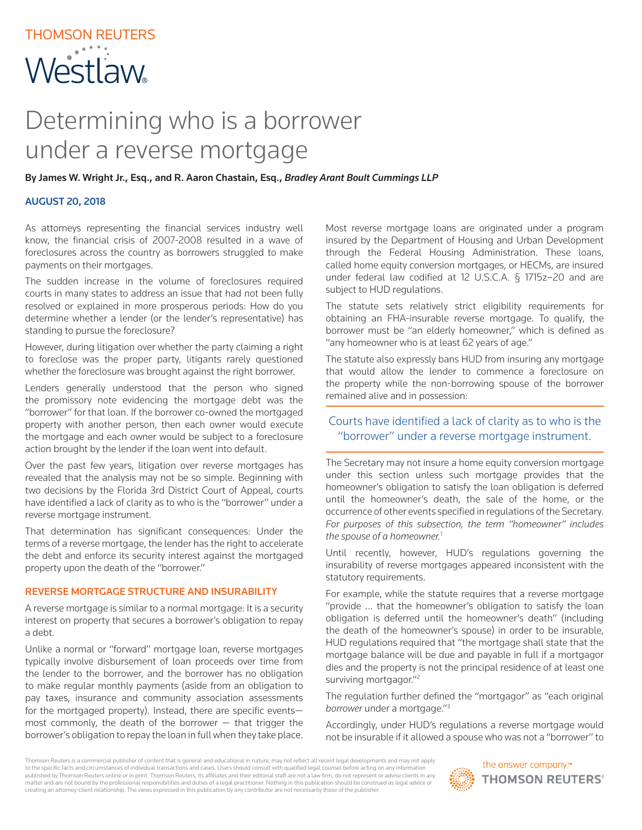# Determining who is a borrower under a reverse mortgage

By James W. Wright Jr., Esq., and R. Aaron Chastain, Esq., *Bradley Arant Boult Cummings LLP*

### AUGUST 20, 2018

As attorneys representing the financial services industry well know, the financial crisis of 2007-2008 resulted in a wave of foreclosures across the country as borrowers struggled to make payments on their mortgages.

The sudden increase in the volume of foreclosures required courts in many states to address an issue that had not been fully resolved or explained in more prosperous periods: How do you determine whether a lender (or the lender's representative) has standing to pursue the foreclosure?

However, during litigation over whether the party claiming a right to foreclose was the proper party, litigants rarely questioned whether the foreclosure was brought against the right borrower.

Lenders generally understood that the person who signed the promissory note evidencing the mortgage debt was the "borrower" for that loan. If the borrower co-owned the mortgaged property with another person, then each owner would execute the mortgage and each owner would be subject to a foreclosure action brought by the lender if the loan went into default.

Over the past few years, litigation over reverse mortgages has revealed that the analysis may not be so simple. Beginning with two decisions by the Florida 3rd District Court of Appeal, courts have identified a lack of clarity as to who is the "borrower" under a reverse mortgage instrument.

That determination has significant consequences: Under the terms of a reverse mortgage, the lender has the right to accelerate the debt and enforce its security interest against the mortgaged property upon the death of the "borrower."

#### REVERSE MORTGAGE STRUCTURE AND INSURABILITY

A reverse mortgage is similar to a normal mortgage: It is a security interest on property that secures a borrower's obligation to repay a debt.

Unlike a normal or "forward" mortgage loan, reverse mortgages typically involve disbursement of loan proceeds over time from the lender to the borrower, and the borrower has no obligation to make regular monthly payments (aside from an obligation to pay taxes, insurance and community association assessments for the mortgaged property). Instead, there are specific events most commonly, the death of the borrower  $-$  that trigger the borrower's obligation to repay the loan in full when they take place.

Most reverse mortgage loans are originated under a program insured by the Department of Housing and Urban Development through the Federal Housing Administration. These loans, called home equity conversion mortgages, or HECMs, are insured under federal law codified at 12 U.S.C.A. § 1715z–20 and are subject to HUD regulations.

The statute sets relatively strict eligibility requirements for obtaining an FHA-insurable reverse mortgage. To qualify, the borrower must be "an elderly homeowner," which is defined as "any homeowner who is at least 62 years of age."

The statute also expressly bans HUD from insuring any mortgage that would allow the lender to commence a foreclosure on the property while the non-borrowing spouse of the borrower remained alive and in possession:

## Courts have identified a lack of clarity as to who is the "borrower" under a reverse mortgage instrument.

The Secretary may not insure a home equity conversion mortgage under this section unless such mortgage provides that the homeowner's obligation to satisfy the loan obligation is deferred until the homeowner's death, the sale of the home, or the occurrence of other events specified in regulations of the Secretary. *For purposes of this subsection, the term "homeowner" includes the spouse of a homeowner.*<sup>1</sup>

Until recently, however, HUD's regulations governing the insurability of reverse mortgages appeared inconsistent with the statutory requirements.

For example, while the statute requires that a reverse mortgage "provide … that the homeowner's obligation to satisfy the loan obligation is deferred until the homeowner's death" (including the death of the homeowner's spouse) in order to be insurable, HUD regulations required that "the mortgage shall state that the mortgage balance will be due and payable in full if a mortgagor dies and the property is not the principal residence of at least one surviving mortgagor."<sup>2</sup>

The regulation further defined the "mortgagor" as "each original *borrower* under a mortgage."3

Accordingly, under HUD's regulations a reverse mortgage would not be insurable if it allowed a spouse who was not a "borrower" to

Thomson Reuters is a commercial publisher of content that is general and educational in nature, may not reflect all recent legal developments and may not apply to the specific facts and circumstances of individual transactions and cases. Users should consult with qualified legal counsel before acting on any information published by Thomson Reuters online or in print. Thomson Reuters, its affiliates and their editorial staff are not a law firm, do not represent or advise clients in any matter and are not bound by the professional responsibilities and duties of a legal practitioner. Nothing in this publication should be construed as legal advice or creating an attorney-client relationship. The views expressed in this publication by any contributor are not necessarily those of the publisher.

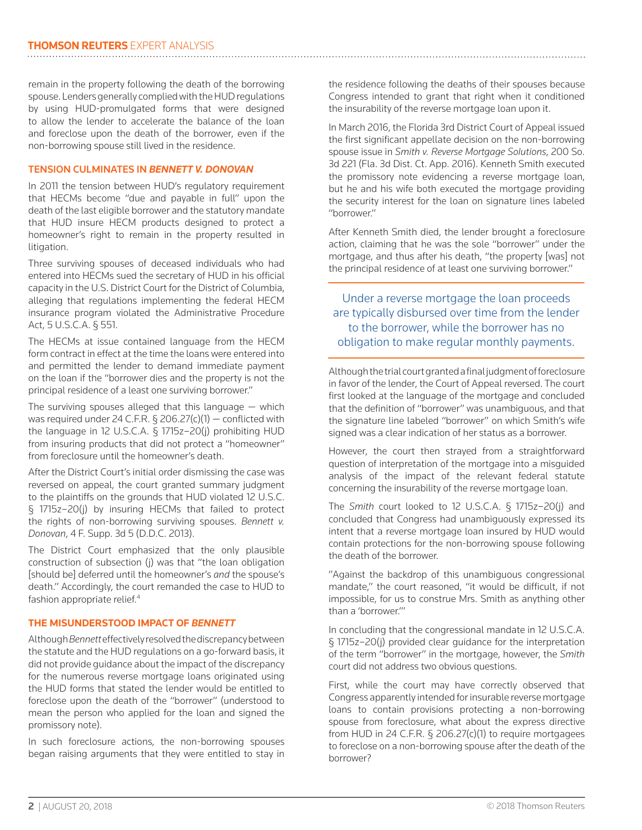remain in the property following the death of the borrowing spouse. Lenders generally complied with the HUD regulations by using HUD-promulgated forms that were designed to allow the lender to accelerate the balance of the loan and foreclose upon the death of the borrower, even if the non-borrowing spouse still lived in the residence.

#### TENSION CULMINATES IN *BENNETT V. DONOVAN*

In 2011 the tension between HUD's regulatory requirement that HECMs become "due and payable in full" upon the death of the last eligible borrower and the statutory mandate that HUD insure HECM products designed to protect a homeowner's right to remain in the property resulted in litigation.

Three surviving spouses of deceased individuals who had entered into HECMs sued the secretary of HUD in his official capacity in the U.S. District Court for the District of Columbia, alleging that regulations implementing the federal HECM insurance program violated the Administrative Procedure Act, 5 U.S.C.A. § 551.

The HECMs at issue contained language from the HECM form contract in effect at the time the loans were entered into and permitted the lender to demand immediate payment on the loan if the "borrower dies and the property is not the principal residence of a least one surviving borrower."

The surviving spouses alleged that this language  $-$  which was required under 24 C.F.R. § 206.27(c)(1) — conflicted with the language in 12 U.S.C.A. § 1715z–20(j) prohibiting HUD from insuring products that did not protect a "homeowner" from foreclosure until the homeowner's death.

After the District Court's initial order dismissing the case was reversed on appeal, the court granted summary judgment to the plaintiffs on the grounds that HUD violated 12 U.S.C. § 1715z–20(j) by insuring HECMs that failed to protect the rights of non-borrowing surviving spouses. *Bennett v. Donovan*, 4 F. Supp. 3d 5 (D.D.C. 2013).

The District Court emphasized that the only plausible construction of subsection (j) was that "the loan obligation [should be] deferred until the homeowner's *and* the spouse's death." Accordingly, the court remanded the case to HUD to fashion appropriate relief.<sup>4</sup>

#### **THE MISUNDERSTOOD IMPACT OF** *BENNETT*

Although *Bennett* effectively resolved the discrepancy between the statute and the HUD regulations on a go-forward basis, it did not provide guidance about the impact of the discrepancy for the numerous reverse mortgage loans originated using the HUD forms that stated the lender would be entitled to foreclose upon the death of the "borrower" (understood to mean the person who applied for the loan and signed the promissory note).

In such foreclosure actions, the non-borrowing spouses began raising arguments that they were entitled to stay in

the residence following the deaths of their spouses because Congress intended to grant that right when it conditioned the insurability of the reverse mortgage loan upon it.

In March 2016, the Florida 3rd District Court of Appeal issued the first significant appellate decision on the non-borrowing spouse issue in *Smith v. Reverse Mortgage Solutions*, 200 So. 3d 221 (Fla. 3d Dist. Ct. App. 2016). Kenneth Smith executed the promissory note evidencing a reverse mortgage loan, but he and his wife both executed the mortgage providing the security interest for the loan on signature lines labeled "borrower."

After Kenneth Smith died, the lender brought a foreclosure action, claiming that he was the sole "borrower" under the mortgage, and thus after his death, "the property [was] not the principal residence of at least one surviving borrower."

Under a reverse mortgage the loan proceeds are typically disbursed over time from the lender to the borrower, while the borrower has no obligation to make regular monthly payments.

Although the trial court granted a final judgment of foreclosure in favor of the lender, the Court of Appeal reversed. The court first looked at the language of the mortgage and concluded that the definition of "borrower" was unambiguous, and that the signature line labeled "borrower" on which Smith's wife signed was a clear indication of her status as a borrower.

However, the court then strayed from a straightforward question of interpretation of the mortgage into a misguided analysis of the impact of the relevant federal statute concerning the insurability of the reverse mortgage loan.

The *Smith* court looked to 12 U.S.C.A. § 1715z–20(j) and concluded that Congress had unambiguously expressed its intent that a reverse mortgage loan insured by HUD would contain protections for the non-borrowing spouse following the death of the borrower.

"Against the backdrop of this unambiguous congressional mandate," the court reasoned, "it would be difficult, if not impossible, for us to construe Mrs. Smith as anything other than a 'borrower.'"

In concluding that the congressional mandate in 12 U.S.C.A. § 1715z–20(j) provided clear guidance for the interpretation of the term "borrower" in the mortgage, however, the *Smith* court did not address two obvious questions.

First, while the court may have correctly observed that Congress apparently intended for insurable reverse mortgage loans to contain provisions protecting a non-borrowing spouse from foreclosure, what about the express directive from HUD in 24 C.F.R. § 206.27(c)(1) to require mortgagees to foreclose on a non-borrowing spouse after the death of the borrower?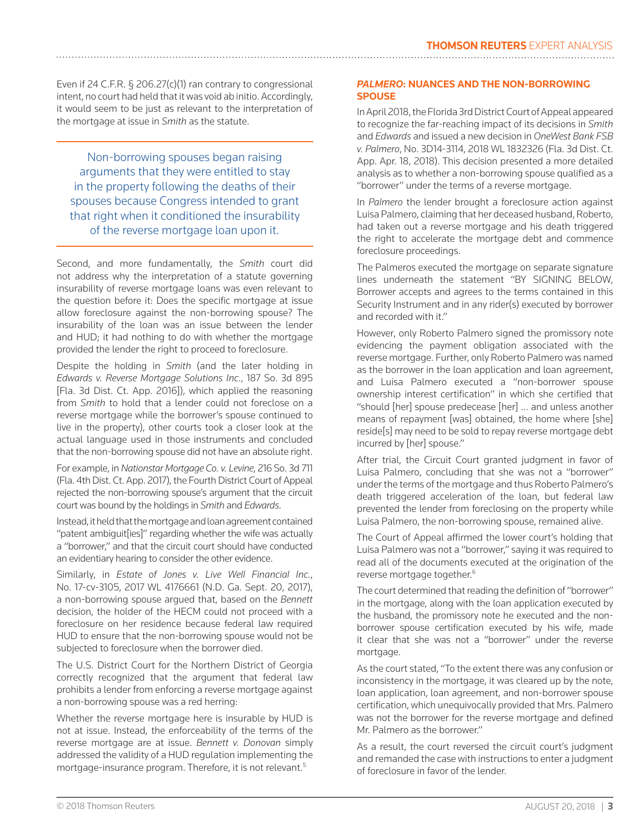Even if 24 C.F.R. § 206.27(c)(1) ran contrary to congressional intent, no court had held that it was void ab initio. Accordingly, it would seem to be just as relevant to the interpretation of the mortgage at issue in *Smith* as the statute.

Non-borrowing spouses began raising arguments that they were entitled to stay in the property following the deaths of their spouses because Congress intended to grant that right when it conditioned the insurability of the reverse mortgage loan upon it.

Second, and more fundamentally, the *Smith* court did not address why the interpretation of a statute governing insurability of reverse mortgage loans was even relevant to the question before it: Does the specific mortgage at issue allow foreclosure against the non-borrowing spouse? The insurability of the loan was an issue between the lender and HUD; it had nothing to do with whether the mortgage provided the lender the right to proceed to foreclosure.

Despite the holding in *Smith* (and the later holding in *Edwards v. Reverse Mortgage Solutions Inc.*, 187 So. 3d 895 [Fla. 3d Dist. Ct. App. 2016]), which applied the reasoning from *Smith* to hold that a lender could not foreclose on a reverse mortgage while the borrower's spouse continued to live in the property), other courts took a closer look at the actual language used in those instruments and concluded that the non-borrowing spouse did not have an absolute right.

For example, in *Nationstar Mortgage Co. v. Levine*, 216 So. 3d 711 (Fla. 4th Dist. Ct. App. 2017), the Fourth District Court of Appeal rejected the non-borrowing spouse's argument that the circuit court was bound by the holdings in *Smith* and *Edwards*.

Instead, it held that the mortgage and loan agreement contained "patent ambiguit[ies]" regarding whether the wife was actually a "borrower," and that the circuit court should have conducted an evidentiary hearing to consider the other evidence.

Similarly, in *Estate of Jones v. Live Well Financial Inc.*, No. 17-cv-3105, 2017 WL 4176661 (N.D. Ga. Sept. 20, 2017), a non-borrowing spouse argued that, based on the *Bennett* decision, the holder of the HECM could not proceed with a foreclosure on her residence because federal law required HUD to ensure that the non-borrowing spouse would not be subjected to foreclosure when the borrower died.

The U.S. District Court for the Northern District of Georgia correctly recognized that the argument that federal law prohibits a lender from enforcing a reverse mortgage against a non-borrowing spouse was a red herring:

Whether the reverse mortgage here is insurable by HUD is not at issue. Instead, the enforceability of the terms of the reverse mortgage are at issue. *Bennett v. Donovan* simply addressed the validity of a HUD regulation implementing the mortgage-insurance program. Therefore, it is not relevant.5

#### *PALMERO***: NUANCES AND THE NON-BORROWING SPOUSE**

In April 2018, the Florida 3rd District Court of Appeal appeared to recognize the far-reaching impact of its decisions in *Smith* and *Edwards* and issued a new decision in *OneWest Bank FSB v. Palmero*, No. 3D14-3114, 2018 WL 1832326 (Fla. 3d Dist. Ct. App. Apr. 18, 2018). This decision presented a more detailed analysis as to whether a non-borrowing spouse qualified as a "borrower" under the terms of a reverse mortgage.

In *Palmero* the lender brought a foreclosure action against Luisa Palmero, claiming that her deceased husband, Roberto, had taken out a reverse mortgage and his death triggered the right to accelerate the mortgage debt and commence foreclosure proceedings.

The Palmeros executed the mortgage on separate signature lines underneath the statement "BY SIGNING BELOW, Borrower accepts and agrees to the terms contained in this Security Instrument and in any rider(s) executed by borrower and recorded with it."

However, only Roberto Palmero signed the promissory note evidencing the payment obligation associated with the reverse mortgage. Further, only Roberto Palmero was named as the borrower in the loan application and loan agreement, and Luisa Palmero executed a "non-borrower spouse ownership interest certification" in which she certified that "should [her] spouse predecease [her] … and unless another means of repayment [was] obtained, the home where [she] reside[s] may need to be sold to repay reverse mortgage debt incurred by [her] spouse."

After trial, the Circuit Court granted judgment in favor of Luisa Palmero, concluding that she was not a "borrower" under the terms of the mortgage and thus Roberto Palmero's death triggered acceleration of the loan, but federal law prevented the lender from foreclosing on the property while Luisa Palmero, the non-borrowing spouse, remained alive.

The Court of Appeal affirmed the lower court's holding that Luisa Palmero was not a "borrower," saying it was required to read all of the documents executed at the origination of the reverse mortgage together.<sup>6</sup>

The court determined that reading the definition of "borrower" in the mortgage, along with the loan application executed by the husband, the promissory note he executed and the nonborrower spouse certification executed by his wife, made it clear that she was not a "borrower" under the reverse mortgage.

As the court stated, "To the extent there was any confusion or inconsistency in the mortgage, it was cleared up by the note, loan application, loan agreement, and non-borrower spouse certification, which unequivocally provided that Mrs. Palmero was not the borrower for the reverse mortgage and defined Mr. Palmero as the borrower."

As a result, the court reversed the circuit court's judgment and remanded the case with instructions to enter a judgment of foreclosure in favor of the lender.